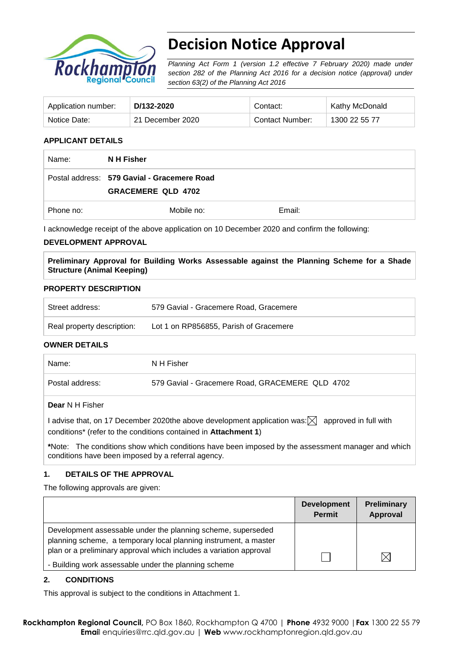

# **Decision Notice Approval**

*Planning Act Form 1 (version 1.2 effective 7 February 2020) made under section 282 of the Planning Act 2016 for a decision notice (approval) under section 63(2) of the Planning Act 2016*

| Application number: | D/132-2020       | Contact:        | Kathy McDonald |
|---------------------|------------------|-----------------|----------------|
| Notice Date:        | 21 December 2020 | Contact Number: | 1300 22 55 77  |

## **APPLICANT DETAILS**

| Name:     | N H Fisher                                                               |        |  |
|-----------|--------------------------------------------------------------------------|--------|--|
|           | Postal address: 579 Gavial - Gracemere Road<br><b>GRACEMERE QLD 4702</b> |        |  |
| Phone no: | Mobile no:                                                               | Email: |  |

I acknowledge receipt of the above application on 10 December 2020 and confirm the following:

#### **DEVELOPMENT APPROVAL**

**Preliminary Approval for Building Works Assessable against the Planning Scheme for a Shade Structure (Animal Keeping)**

#### **PROPERTY DESCRIPTION**

| Street address:            | 579 Gavial - Gracemere Road, Gracemere |
|----------------------------|----------------------------------------|
| Real property description: | Lot 1 on RP856855, Parish of Gracemere |

### **OWNER DETAILS**

| Name:           | N H Fisher                                      |
|-----------------|-------------------------------------------------|
| Postal address: | 579 Gavial - Gracemere Road, GRACEMERE QLD 4702 |
| Dear N H Fisher |                                                 |

I advise that, on 17 December 2020the above development application was:  $\boxtimes$  approved in full with conditions\* (refer to the conditions contained in **Attachment 1**)

**\***Note:The conditions show which conditions have been imposed by the assessment manager and which conditions have been imposed by a referral agency.

### **1. DETAILS OF THE APPROVAL**

The following approvals are given:

|                                                                                                                                  | <b>Development</b><br><b>Permit</b> | <b>Preliminary</b><br>Approval |
|----------------------------------------------------------------------------------------------------------------------------------|-------------------------------------|--------------------------------|
| Development assessable under the planning scheme, superseded<br>planning scheme, a temporary local planning instrument, a master |                                     |                                |
| plan or a preliminary approval which includes a variation approval<br>- Building work assessable under the planning scheme       |                                     | $\times$                       |

### **2. CONDITIONS**

This approval is subject to the conditions in Attachment 1.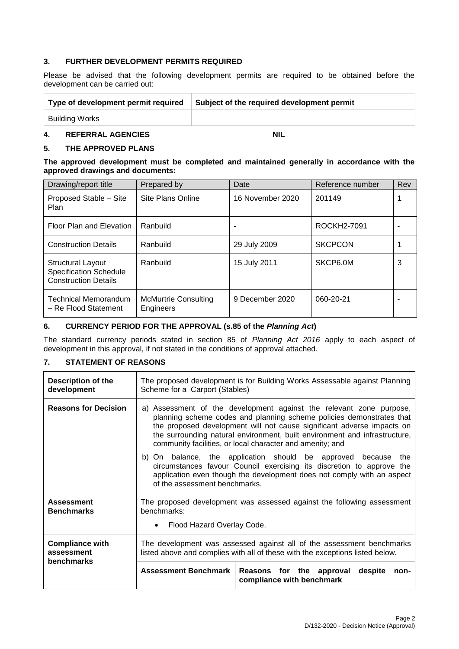## **3. FURTHER DEVELOPMENT PERMITS REQUIRED**

Please be advised that the following development permits are required to be obtained before the development can be carried out:

| Type of development permit required | Subject of the required development permit |
|-------------------------------------|--------------------------------------------|
| Building Works                      |                                            |

# **4. REFERRAL AGENCIES NIL**

# **5. THE APPROVED PLANS**

#### **The approved development must be completed and maintained generally in accordance with the approved drawings and documents:**

| Drawing/report title                                                                     | Prepared by                              | Date             | Reference number | Rev |
|------------------------------------------------------------------------------------------|------------------------------------------|------------------|------------------|-----|
| Proposed Stable - Site<br>Plan                                                           | Site Plans Online                        | 16 November 2020 | 201149           |     |
| Floor Plan and Elevation                                                                 | Ranbuild                                 | ۰                | ROCKH2-7091      |     |
| <b>Construction Details</b>                                                              | Ranbuild                                 | 29 July 2009     | <b>SKCPCON</b>   |     |
| <b>Structural Layout</b><br><b>Specification Schedule</b><br><b>Construction Details</b> | Ranbuild                                 | 15 July 2011     | SKCP6.0M         | 3   |
| Technical Memorandum<br>- Re Flood Statement                                             | <b>McMurtrie Consulting</b><br>Engineers | 9 December 2020  | 060-20-21        |     |

## **6. CURRENCY PERIOD FOR THE APPROVAL (s.85 of the** *Planning Act***)**

The standard currency periods stated in section 85 of *Planning Act 2016* apply to each aspect of development in this approval, if not stated in the conditions of approval attached.

### **7. STATEMENT OF REASONS**

| <b>Description of the</b><br>development           | The proposed development is for Building Works Assessable against Planning<br>Scheme for a Carport (Stables)                                                                                                                                                                                                                                                                                                                                                                                                                                                                                                             |  |  |  |
|----------------------------------------------------|--------------------------------------------------------------------------------------------------------------------------------------------------------------------------------------------------------------------------------------------------------------------------------------------------------------------------------------------------------------------------------------------------------------------------------------------------------------------------------------------------------------------------------------------------------------------------------------------------------------------------|--|--|--|
| <b>Reasons for Decision</b>                        | a) Assessment of the development against the relevant zone purpose,<br>planning scheme codes and planning scheme policies demonstrates that<br>the proposed development will not cause significant adverse impacts on<br>the surrounding natural environment, built environment and infrastructure,<br>community facilities, or local character and amenity; and<br>b) On balance, the application should be approved because<br>the<br>circumstances favour Council exercising its discretion to approve the<br>application even though the development does not comply with an aspect<br>of the assessment benchmarks. |  |  |  |
| <b>Assessment</b><br><b>Benchmarks</b>             | The proposed development was assessed against the following assessment<br>benchmarks:<br>Flood Hazard Overlay Code.                                                                                                                                                                                                                                                                                                                                                                                                                                                                                                      |  |  |  |
| <b>Compliance with</b><br>assessment<br>benchmarks | The development was assessed against all of the assessment benchmarks<br>listed above and complies with all of these with the exceptions listed below.<br><b>Assessment Benchmark</b><br>Reasons for the approval<br>despite<br>non-<br>compliance with benchmark                                                                                                                                                                                                                                                                                                                                                        |  |  |  |
|                                                    |                                                                                                                                                                                                                                                                                                                                                                                                                                                                                                                                                                                                                          |  |  |  |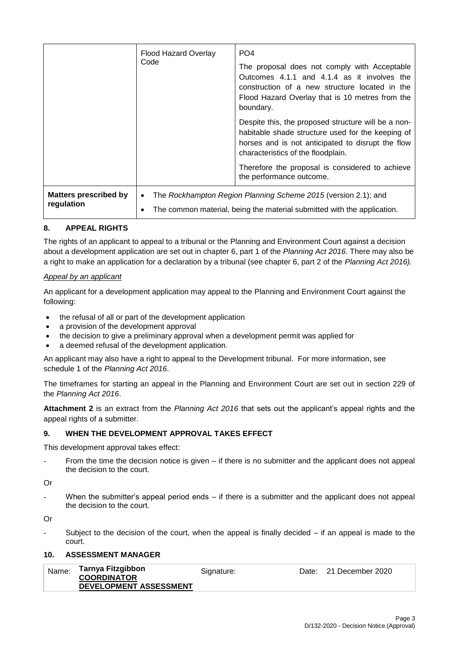|                                            | Flood Hazard Overlay<br>Code | PO <sub>4</sub><br>The proposal does not comply with Acceptable<br>Outcomes 4.1.1 and 4.1.4 as it involves the<br>construction of a new structure located in the<br>Flood Hazard Overlay that is 10 metres from the<br>boundary.                                                   |  |
|--------------------------------------------|------------------------------|------------------------------------------------------------------------------------------------------------------------------------------------------------------------------------------------------------------------------------------------------------------------------------|--|
|                                            |                              | Despite this, the proposed structure will be a non-<br>habitable shade structure used for the keeping of<br>horses and is not anticipated to disrupt the flow<br>characteristics of the floodplain.<br>Therefore the proposal is considered to achieve<br>the performance outcome. |  |
|                                            |                              |                                                                                                                                                                                                                                                                                    |  |
| <b>Matters prescribed by</b><br>regulation |                              | The Rockhampton Region Planning Scheme 2015 (version 2.1); and<br>The common material, being the material submitted with the application.                                                                                                                                          |  |

# **8. APPEAL RIGHTS**

The rights of an applicant to appeal to a tribunal or the Planning and Environment Court against a decision about a development application are set out in chapter 6, part 1 of the *Planning Act 2016*. There may also be a right to make an application for a declaration by a tribunal (see chapter 6, part 2 of the *Planning Act 2016).*

## *Appeal by an applicant*

An applicant for a development application may appeal to the Planning and Environment Court against the following:

- the refusal of all or part of the development application
- a provision of the development approval
- the decision to give a preliminary approval when a development permit was applied for
- a deemed refusal of the development application.

An applicant may also have a right to appeal to the Development tribunal. For more information, see schedule 1 of the *Planning Act 2016*.

The timeframes for starting an appeal in the Planning and Environment Court are set out in section 229 of the *Planning Act 2016*.

**Attachment 2** is an extract from the *Planning Act 2016* that sets out the applicant's appeal rights and the appeal rights of a submitter.

# **9. WHEN THE DEVELOPMENT APPROVAL TAKES EFFECT**

This development approval takes effect:

From the time the decision notice is given  $-$  if there is no submitter and the applicant does not appeal the decision to the court.

Or

When the submitter's appeal period ends  $-$  if there is a submitter and the applicant does not appeal the decision to the court.

Or

Subject to the decision of the court, when the appeal is finally decided  $-$  if an appeal is made to the court.

## **10. ASSESSMENT MANAGER**

| Name: | Tarnya Fitzgibbon<br><b>COORDINATOR</b> | Signature: | Date: 21 December 2020 |
|-------|-----------------------------------------|------------|------------------------|
|       | DEVELOPMENT ASSESSMENT                  |            |                        |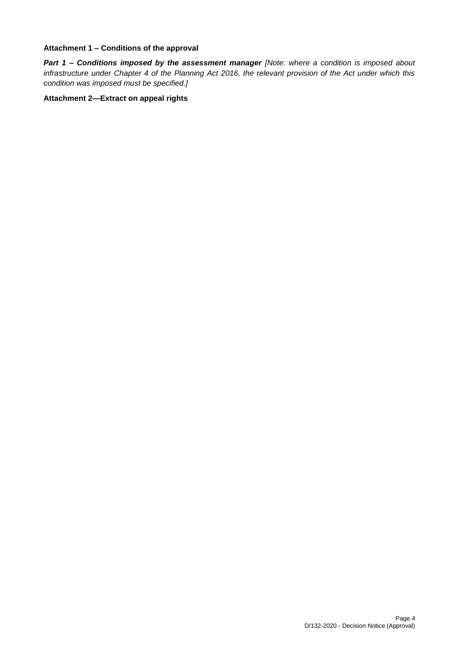### **Attachment 1 – Conditions of the approval**

*Part 1* **–** *Conditions imposed by the assessment manager [Note: where a condition is imposed about infrastructure under Chapter 4 of the Planning Act 2016, the relevant provision of the Act under which this condition was imposed must be specified.]*

## **Attachment 2—Extract on appeal rights**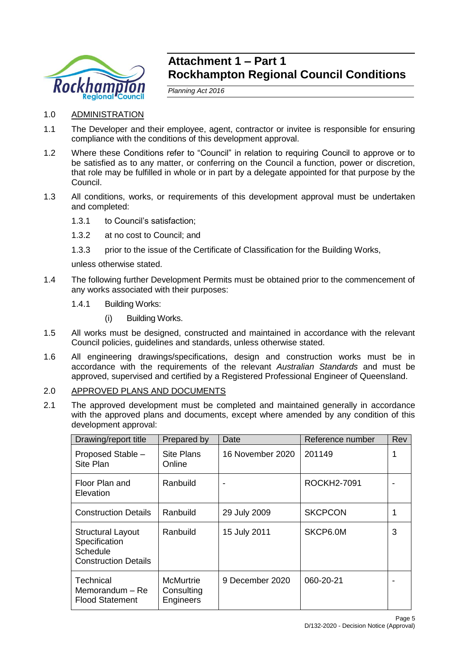

# **Attachment 1 – Part 1 Rockhampton Regional Council Conditions**

*Planning Act 2016*

- 1.0 ADMINISTRATION
- 1.1 The Developer and their employee, agent, contractor or invitee is responsible for ensuring compliance with the conditions of this development approval.
- 1.2 Where these Conditions refer to "Council" in relation to requiring Council to approve or to be satisfied as to any matter, or conferring on the Council a function, power or discretion, that role may be fulfilled in whole or in part by a delegate appointed for that purpose by the Council.
- 1.3 All conditions, works, or requirements of this development approval must be undertaken and completed:
	- 1.3.1 to Council's satisfaction;
	- 1.3.2 at no cost to Council; and
	- 1.3.3 prior to the issue of the Certificate of Classification for the Building Works,

unless otherwise stated.

- 1.4 The following further Development Permits must be obtained prior to the commencement of any works associated with their purposes:
	- 1.4.1 Building Works:
		- (i) Building Works.
- 1.5 All works must be designed, constructed and maintained in accordance with the relevant Council policies, guidelines and standards, unless otherwise stated.
- 1.6 All engineering drawings/specifications, design and construction works must be in accordance with the requirements of the relevant *Australian Standards* and must be approved, supervised and certified by a Registered Professional Engineer of Queensland.

# 2.0 APPROVED PLANS AND DOCUMENTS

2.1 The approved development must be completed and maintained generally in accordance with the approved plans and documents, except where amended by any condition of this development approval:

| Drawing/report title                                                                        | Prepared by                          | Date             | Reference number | Rev |
|---------------------------------------------------------------------------------------------|--------------------------------------|------------------|------------------|-----|
| Proposed Stable -<br>Site Plan                                                              | Site Plans<br>Online                 | 16 November 2020 | 201149           |     |
| Floor Plan and<br>Elevation                                                                 | Ranbuild                             |                  | ROCKH2-7091      |     |
| <b>Construction Details</b>                                                                 | Ranbuild                             | 29 July 2009     | <b>SKCPCON</b>   |     |
| <b>Structural Layout</b><br>Specification<br><b>Schedule</b><br><b>Construction Details</b> | Ranbuild                             | 15 July 2011     | SKCP6.0M         | 3   |
| Technical<br>Memorandum - Re<br><b>Flood Statement</b>                                      | McMurtrie<br>Consulting<br>Engineers | 9 December 2020  | 060-20-21        |     |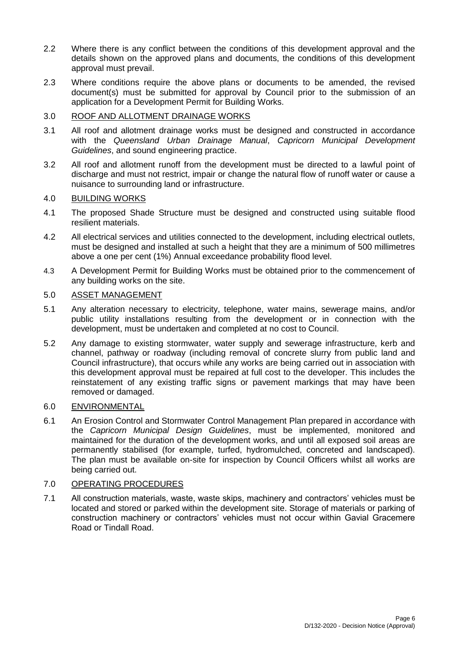- 2.2 Where there is any conflict between the conditions of this development approval and the details shown on the approved plans and documents, the conditions of this development approval must prevail.
- 2.3 Where conditions require the above plans or documents to be amended, the revised document(s) must be submitted for approval by Council prior to the submission of an application for a Development Permit for Building Works.

# 3.0 ROOF AND ALLOTMENT DRAINAGE WORKS

- 3.1 All roof and allotment drainage works must be designed and constructed in accordance with the *Queensland Urban Drainage Manual*, *Capricorn Municipal Development Guidelines*, and sound engineering practice.
- 3.2 All roof and allotment runoff from the development must be directed to a lawful point of discharge and must not restrict, impair or change the natural flow of runoff water or cause a nuisance to surrounding land or infrastructure.

# 4.0 BUILDING WORKS

- 4.1 The proposed Shade Structure must be designed and constructed using suitable flood resilient materials.
- 4.2 All electrical services and utilities connected to the development, including electrical outlets, must be designed and installed at such a height that they are a minimum of 500 millimetres above a one per cent (1%) Annual exceedance probability flood level.
- 4.3 A Development Permit for Building Works must be obtained prior to the commencement of any building works on the site.

# 5.0 ASSET MANAGEMENT

- 5.1 Any alteration necessary to electricity, telephone, water mains, sewerage mains, and/or public utility installations resulting from the development or in connection with the development, must be undertaken and completed at no cost to Council.
- 5.2 Any damage to existing stormwater, water supply and sewerage infrastructure, kerb and channel, pathway or roadway (including removal of concrete slurry from public land and Council infrastructure), that occurs while any works are being carried out in association with this development approval must be repaired at full cost to the developer. This includes the reinstatement of any existing traffic signs or pavement markings that may have been removed or damaged.

# 6.0 ENVIRONMENTAL

6.1 An Erosion Control and Stormwater Control Management Plan prepared in accordance with the *Capricorn Municipal Design Guidelines*, must be implemented, monitored and maintained for the duration of the development works, and until all exposed soil areas are permanently stabilised (for example, turfed, hydromulched, concreted and landscaped). The plan must be available on-site for inspection by Council Officers whilst all works are being carried out.

# 7.0 OPERATING PROCEDURES

7.1 All construction materials, waste, waste skips, machinery and contractors' vehicles must be located and stored or parked within the development site. Storage of materials or parking of construction machinery or contractors' vehicles must not occur within Gavial Gracemere Road or Tindall Road.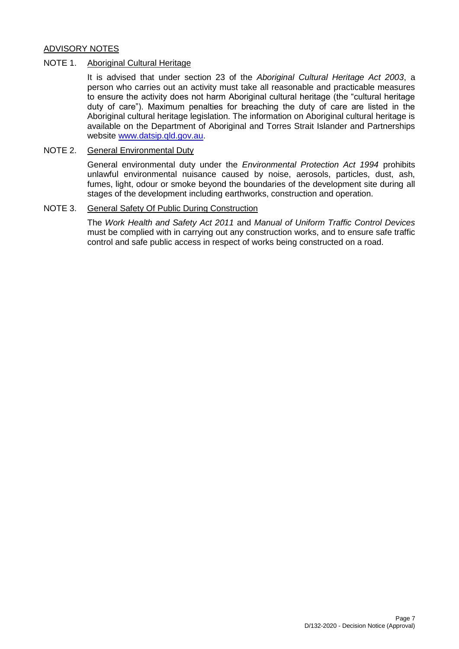# ADVISORY NOTES

## NOTE 1. Aboriginal Cultural Heritage

It is advised that under section 23 of the *Aboriginal Cultural Heritage Act 2003*, a person who carries out an activity must take all reasonable and practicable measures to ensure the activity does not harm Aboriginal cultural heritage (the "cultural heritage duty of care"). Maximum penalties for breaching the duty of care are listed in the Aboriginal cultural heritage legislation. The information on Aboriginal cultural heritage is available on the Department of Aboriginal and Torres Strait Islander and Partnerships website [www.datsip.qld.gov.au.](http://www.datsip.qld.gov.au/)

# NOTE 2. General Environmental Duty

General environmental duty under the *Environmental Protection Act 1994* prohibits unlawful environmental nuisance caused by noise, aerosols, particles, dust, ash, fumes, light, odour or smoke beyond the boundaries of the development site during all stages of the development including earthworks, construction and operation.

### NOTE 3. General Safety Of Public During Construction

The *Work Health and Safety Act 2011* and *Manual of Uniform Traffic Control Devices* must be complied with in carrying out any construction works, and to ensure safe traffic control and safe public access in respect of works being constructed on a road.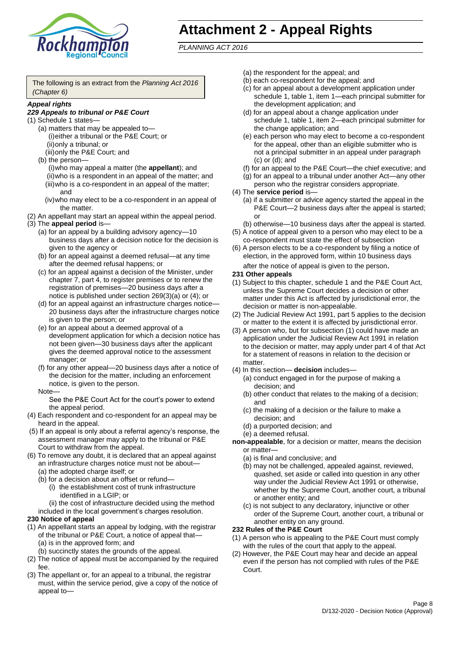

# **Attachment 2 - Appeal Rights**

*PLANNING ACT 2016*

The following is an extract from the *Planning Act 2016 (Chapter 6)*

### *Appeal rights*

### *229 Appeals to tribunal or P&E Court*

- (1) Schedule 1 states—
	- (a) matters that may be appealed to— (i)either a tribunal or the P&E Court; or (ii)only a tribunal; or
	- (iii)only the P&E Court; and (b) the person—

(i)who may appeal a matter (the **appellant**); and (ii)who is a respondent in an appeal of the matter; and (iii)who is a co-respondent in an appeal of the matter; and

- (iv)who may elect to be a co-respondent in an appeal of the matter.
- (2) An appellant may start an appeal within the appeal period.
- (3) The **appeal period** is—
	- (a) for an appeal by a building advisory agency—10 business days after a decision notice for the decision is given to the agency or
	- (b) for an appeal against a deemed refusal—at any time after the deemed refusal happens; or
	- (c) for an appeal against a decision of the Minister, under chapter 7, part 4, to register premises or to renew the registration of premises—20 business days after a notice is published under section 269(3)(a) or (4); or
	- (d) for an appeal against an infrastructure charges notice— 20 business days after the infrastructure charges notice is given to the person; or
	- (e) for an appeal about a deemed approval of a development application for which a decision notice has not been given—30 business days after the applicant gives the deemed approval notice to the assessment manager; or
	- (f) for any other appeal—20 business days after a notice of the decision for the matter, including an enforcement notice, is given to the person.

#### Note—

See the P&E Court Act for the court's power to extend the appeal period.

- (4) Each respondent and co-respondent for an appeal may be heard in the appeal.
- (5) If an appeal is only about a referral agency's response, the assessment manager may apply to the tribunal or P&E Court to withdraw from the appeal.
- (6) To remove any doubt, it is declared that an appeal against an infrastructure charges notice must not be about—
	- (a) the adopted charge itself; or
	- (b) for a decision about an offset or refund—
		- (i) the establishment cost of trunk infrastructure identified in a LGIP; or
		- (ii) the cost of infrastructure decided using the method

included in the local government's charges resolution.

### **230 Notice of appeal**

- (1) An appellant starts an appeal by lodging, with the registrar of the tribunal or P&E Court, a notice of appeal that—
	- (a) is in the approved form; and
	- (b) succinctly states the grounds of the appeal.
- (2) The notice of appeal must be accompanied by the required fee.
- (3) The appellant or, for an appeal to a tribunal, the registrar must, within the service period, give a copy of the notice of appeal to—
- (a) the respondent for the appeal; and
- (b) each co-respondent for the appeal; and
- (c) for an appeal about a development application under schedule 1, table 1, item 1—each principal submitter for the development application; and
- (d) for an appeal about a change application under schedule 1, table 1, item 2—each principal submitter for the change application; and
- (e) each person who may elect to become a co-respondent for the appeal, other than an eligible submitter who is not a principal submitter in an appeal under paragraph (c) or (d); and
- (f) for an appeal to the P&E Court—the chief executive; and
- (g) for an appeal to a tribunal under another Act—any other person who the registrar considers appropriate.
- (4) The **service period** is—
	- (a) if a submitter or advice agency started the appeal in the P&E Court—2 business days after the appeal is started; or
	- (b) otherwise—10 business days after the appeal is started.
- (5) A notice of appeal given to a person who may elect to be a co-respondent must state the effect of subsection
- (6) A person elects to be a co-respondent by filing a notice of election, in the approved form, within 10 business days after the notice of appeal is given to the person*.*
- **231 Other appeals**
- (1) Subject to this chapter, schedule 1 and the P&E Court Act, unless the Supreme Court decides a decision or other matter under this Act is affected by jurisdictional error, the decision or matter is non-appealable.
- (2) The Judicial Review Act 1991, part 5 applies to the decision or matter to the extent it is affected by jurisdictional error.
- (3) A person who, but for subsection (1) could have made an application under the Judicial Review Act 1991 in relation to the decision or matter, may apply under part 4 of that Act for a statement of reasons in relation to the decision or matter.
- (4) In this section— **decision** includes—
	- (a) conduct engaged in for the purpose of making a decision; and
	- (b) other conduct that relates to the making of a decision; and
	- (c) the making of a decision or the failure to make a decision; and
	- (d) a purported decision; and
	- (e) a deemed refusal.

**non-appealable**, for a decision or matter, means the decision or matter—

- (a) is final and conclusive; and
- (b) may not be challenged, appealed against, reviewed, quashed, set aside or called into question in any other way under the Judicial Review Act 1991 or otherwise, whether by the Supreme Court, another court, a tribunal or another entity; and
- (c) is not subject to any declaratory, injunctive or other order of the Supreme Court, another court, a tribunal or another entity on any ground.

#### **232 Rules of the P&E Court**

- (1) A person who is appealing to the P&E Court must comply with the rules of the court that apply to the appeal.
- (2) However, the P&E Court may hear and decide an appeal even if the person has not complied with rules of the P&E Court.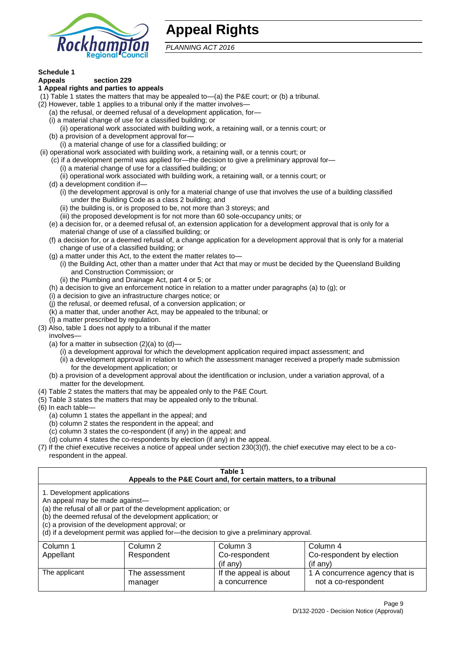

# **Appeal Rights**

*PLANNING ACT 2016*

# **Schedule 1**

#### **Appeals section 229 1 Appeal rights and parties to appeals**

- (1) Table 1 states the matters that may be appealed to—(a) the P&E court; or (b) a tribunal.
- (2) However, table 1 applies to a tribunal only if the matter involves—
	- (a) the refusal, or deemed refusal of a development application, for—
	- (i) a material change of use for a classified building; or
	- (ii) operational work associated with building work, a retaining wall, or a tennis court; or
	- (b) a provision of a development approval for—
	- (i) a material change of use for a classified building; or
- (ii) operational work associated with building work, a retaining wall, or a tennis court; or
	- (c) if a development permit was applied for—the decision to give a preliminary approval for— (i) a material change of use for a classified building; or
	- (ii) operational work associated with building work, a retaining wall, or a tennis court; or
	- (d) a development condition if—
		- (i) the development approval is only for a material change of use that involves the use of a building classified under the Building Code as a class 2 building; and
		- (ii) the building is, or is proposed to be, not more than 3 storeys; and
		- (iii) the proposed development is for not more than 60 sole-occupancy units; or
	- (e) a decision for, or a deemed refusal of, an extension application for a development approval that is only for a material change of use of a classified building; or
	- (f) a decision for, or a deemed refusal of, a change application for a development approval that is only for a material change of use of a classified building; or
	- (g) a matter under this Act, to the extent the matter relates to—
		- (i) the Building Act, other than a matter under that Act that may or must be decided by the Queensland Building and Construction Commission; or
		- (ii) the Plumbing and Drainage Act, part 4 or 5; or
	- (h) a decision to give an enforcement notice in relation to a matter under paragraphs (a) to (g); or
	- (i) a decision to give an infrastructure charges notice; or
	- (j) the refusal, or deemed refusal, of a conversion application; or
	- (k) a matter that, under another Act, may be appealed to the tribunal; or
	- (l) a matter prescribed by regulation.
- (3) Also, table 1 does not apply to a tribunal if the matter

involves—

- (a) for a matter in subsection  $(2)(a)$  to  $(d)$ 
	- (i) a development approval for which the development application required impact assessment; and
	- (ii) a development approval in relation to which the assessment manager received a properly made submission for the development application; or
- (b) a provision of a development approval about the identification or inclusion, under a variation approval, of a matter for the development.
- (4) Table 2 states the matters that may be appealed only to the P&E Court.
- (5) Table 3 states the matters that may be appealed only to the tribunal.
- (6) In each table—
	- (a) column 1 states the appellant in the appeal; and
	- (b) column 2 states the respondent in the appeal; and
	- (c) column 3 states the co-respondent (if any) in the appeal; and
	- (d) column 4 states the co-respondents by election (if any) in the appeal.
- (7) If the chief executive receives a notice of appeal under section 230(3)(f), the chief executive may elect to be a corespondent in the appeal.

| Table 1<br>Appeals to the P&E Court and, for certain matters, to a tribunal                                                                                                                                                                                                                                                                    |                                                          |                                         |                                                       |  |  |
|------------------------------------------------------------------------------------------------------------------------------------------------------------------------------------------------------------------------------------------------------------------------------------------------------------------------------------------------|----------------------------------------------------------|-----------------------------------------|-------------------------------------------------------|--|--|
| 1. Development applications<br>An appeal may be made against-<br>(a) the refusal of all or part of the development application; or<br>(b) the deemed refusal of the development application; or<br>(c) a provision of the development approval; or<br>(d) if a development permit was applied for-the decision to give a preliminary approval. |                                                          |                                         |                                                       |  |  |
| Column 1                                                                                                                                                                                                                                                                                                                                       | Column 2                                                 | Column 3                                | Column 4                                              |  |  |
| Appellant                                                                                                                                                                                                                                                                                                                                      | Co-respondent by election<br>Respondent<br>Co-respondent |                                         |                                                       |  |  |
| (if any)<br>$($ if any $)$                                                                                                                                                                                                                                                                                                                     |                                                          |                                         |                                                       |  |  |
| The applicant                                                                                                                                                                                                                                                                                                                                  | The assessment<br>manager                                | If the appeal is about<br>a concurrence | 1 A concurrence agency that is<br>not a co-respondent |  |  |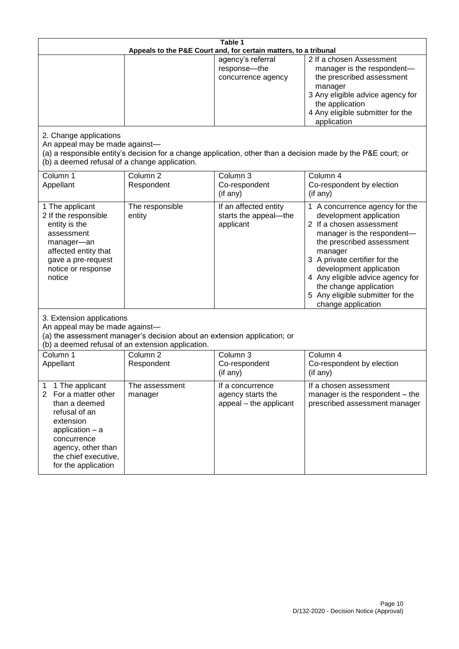| Table 1<br>Appeals to the P&E Court and, for certain matters, to a tribunal                                                                                                                                          |                                   |                                                                 |                                                                                                                                                                                                                                                                                                                                                 |  |
|----------------------------------------------------------------------------------------------------------------------------------------------------------------------------------------------------------------------|-----------------------------------|-----------------------------------------------------------------|-------------------------------------------------------------------------------------------------------------------------------------------------------------------------------------------------------------------------------------------------------------------------------------------------------------------------------------------------|--|
|                                                                                                                                                                                                                      |                                   | agency's referral<br>response-the<br>concurrence agency         | 2 If a chosen Assessment<br>manager is the respondent-<br>the prescribed assessment<br>manager<br>3 Any eligible advice agency for<br>the application<br>4 Any eligible submitter for the<br>application                                                                                                                                        |  |
| 2. Change applications<br>An appeal may be made against-<br>(b) a deemed refusal of a change application.                                                                                                            |                                   |                                                                 | (a) a responsible entity's decision for a change application, other than a decision made by the P&E court; or                                                                                                                                                                                                                                   |  |
| Column 1<br>Appellant                                                                                                                                                                                                | Column <sub>2</sub><br>Respondent | Column <sub>3</sub><br>Co-respondent<br>(if any)                | Column 4<br>Co-respondent by election<br>(if any)                                                                                                                                                                                                                                                                                               |  |
| 1 The applicant<br>2 If the responsible<br>entity is the<br>assessment<br>manager-an<br>affected entity that<br>gave a pre-request<br>notice or response<br>notice                                                   | The responsible<br>entity         | If an affected entity<br>starts the appeal-the<br>applicant     | 1 A concurrence agency for the<br>development application<br>2 If a chosen assessment<br>manager is the respondent-<br>the prescribed assessment<br>manager<br>3 A private certifier for the<br>development application<br>4 Any eligible advice agency for<br>the change application<br>5 Any eligible submitter for the<br>change application |  |
| 3. Extension applications<br>An appeal may be made against-<br>(a) the assessment manager's decision about an extension application; or<br>(b) a deemed refusal of an extension application.                         |                                   |                                                                 |                                                                                                                                                                                                                                                                                                                                                 |  |
| Column 1<br>Appellant                                                                                                                                                                                                | Column <sub>2</sub><br>Respondent | Column 3<br>Co-respondent<br>(if any)                           | Column 4<br>Co-respondent by election<br>(if any)                                                                                                                                                                                                                                                                                               |  |
| 1 The applicant<br>1<br>$\overline{2}$<br>For a matter other<br>than a deemed<br>refusal of an<br>extension<br>application $-$ a<br>concurrence<br>agency, other than<br>the chief executive,<br>for the application | The assessment<br>manager         | If a concurrence<br>agency starts the<br>appeal - the applicant | If a chosen assessment<br>manager is the respondent – the<br>prescribed assessment manager                                                                                                                                                                                                                                                      |  |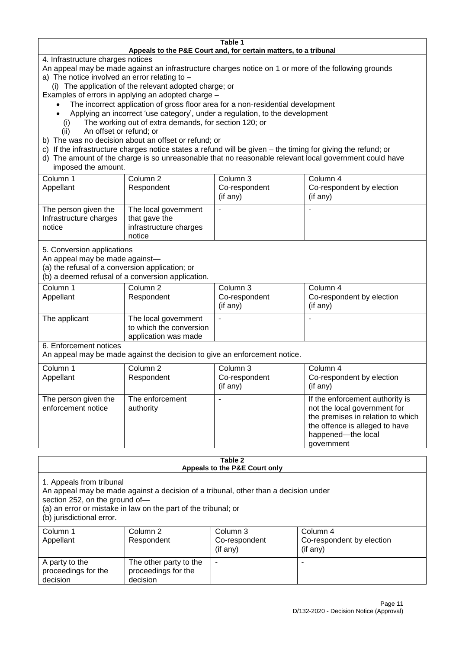#### **Table 1 Appeals to the P&E Court and, for certain matters, to a tribunal**

4. Infrastructure charges notices

- An appeal may be made against an infrastructure charges notice on 1 or more of the following grounds
- a) The notice involved an error relating to
	- (i) The application of the relevant adopted charge; or
- Examples of errors in applying an adopted charge
	- The incorrect application of gross floor area for a non-residential development
	- Applying an incorrect 'use category', under a regulation, to the development
	- (i) The working out of extra demands, for section 120; or
	- (ii) An offset or refund; or
- b) The was no decision about an offset or refund; or
- c) If the infrastructure charges notice states a refund will be given the timing for giving the refund; or
- d) The amount of the charge is so unreasonable that no reasonable relevant local government could have

# imposed the amount.

| Column 1<br>Appellant                                    | Column 2<br>Respondent                                                    | Column 3<br>Co-respondent<br>(if any) | Column 4<br>Co-respondent by election<br>(if any) |
|----------------------------------------------------------|---------------------------------------------------------------------------|---------------------------------------|---------------------------------------------------|
| The person given the<br>Infrastructure charges<br>notice | The local government<br>that gave the<br>infrastructure charges<br>notice |                                       | $\overline{\phantom{a}}$                          |

5. Conversion applications

An appeal may be made against—

(a) the refusal of a conversion application; or

(b) a deemed refusal of a conversion application.

| Column 1      | Column 2                | Column 3       | Column 4                  |
|---------------|-------------------------|----------------|---------------------------|
| Appellant     | Respondent              | Co-respondent  | Co-respondent by election |
|               |                         | $($ if any $)$ | $($ if any $)$            |
|               |                         |                |                           |
| The applicant | The local government    | ۰              | $\overline{\phantom{a}}$  |
|               | to which the conversion |                |                           |
|               | application was made    |                |                           |

6. Enforcement notices

An appeal may be made against the decision to give an enforcement notice.

| Column 1                                   | Column 2                     | Column 3      | Column 4                                                                                                                                                                   |
|--------------------------------------------|------------------------------|---------------|----------------------------------------------------------------------------------------------------------------------------------------------------------------------------|
| Appellant                                  | Respondent                   | Co-respondent | Co-respondent by election                                                                                                                                                  |
|                                            |                              | (if any)      | (if any)                                                                                                                                                                   |
| The person given the<br>enforcement notice | The enforcement<br>authority |               | If the enforcement authority is<br>not the local government for<br>the premises in relation to which<br>the offence is alleged to have<br>happened-the local<br>government |

#### **Table 2 Appeals to the P&E Court only**

1. Appeals from tribunal

An appeal may be made against a decision of a tribunal, other than a decision under

section 252, on the ground of—

(a) an error or mistake in law on the part of the tribunal; or

(b) jurisdictional error.

| Column 1<br>Appellant                             | Column 2<br>Respondent                                    | Column 3<br>Co-respondent<br>$($ if any $)$ | Column 4<br>Co-respondent by election<br>(if any) |
|---------------------------------------------------|-----------------------------------------------------------|---------------------------------------------|---------------------------------------------------|
| A party to the<br>proceedings for the<br>decision | The other party to the<br>proceedings for the<br>decision | ۰                                           |                                                   |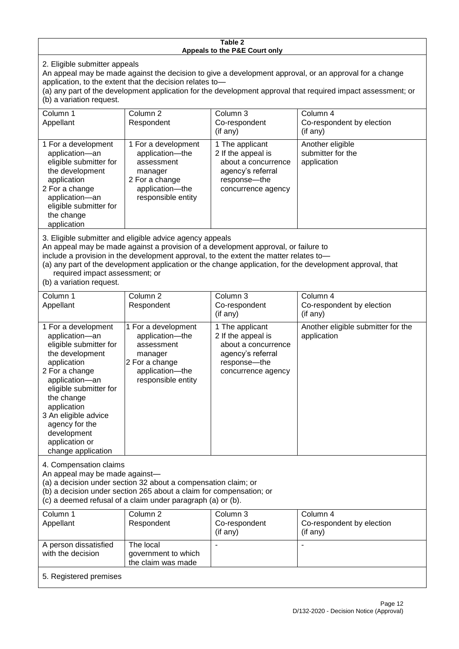#### **Table 2 Appeals to the P&E Court only**

2. Eligible submitter appeals

An appeal may be made against the decision to give a development approval, or an approval for a change application, to the extent that the decision relates to—

(a) any part of the development application for the development approval that required impact assessment; or (b) a variation request.

| Column 1<br>Appellant                                                                                                                                                                                                                                                                                                                                                                                              | Column <sub>2</sub><br>Respondent                                                                                          | Column 3<br>Co-respondent<br>(if any)                                                                                   | Column 4<br>Co-respondent by election<br>(if any)    |
|--------------------------------------------------------------------------------------------------------------------------------------------------------------------------------------------------------------------------------------------------------------------------------------------------------------------------------------------------------------------------------------------------------------------|----------------------------------------------------------------------------------------------------------------------------|-------------------------------------------------------------------------------------------------------------------------|------------------------------------------------------|
| 1 For a development<br>application-an<br>eligible submitter for<br>the development<br>application<br>2 For a change<br>application-an<br>eligible submitter for<br>the change<br>application                                                                                                                                                                                                                       | 1 For a development<br>application-the<br>assessment<br>manager<br>2 For a change<br>application-the<br>responsible entity | 1 The applicant<br>2 If the appeal is<br>about a concurrence<br>agency's referral<br>response-the<br>concurrence agency | Another eligible<br>submitter for the<br>application |
| 3. Eligible submitter and eligible advice agency appeals<br>An appeal may be made against a provision of a development approval, or failure to<br>include a provision in the development approval, to the extent the matter relates to-<br>(a) any part of the development application or the change application, for the development approval, that<br>required impact assessment; or<br>(b) a variation request. |                                                                                                                            |                                                                                                                         |                                                      |
| Column 1                                                                                                                                                                                                                                                                                                                                                                                                           | Column <sub>2</sub>                                                                                                        | Column 3                                                                                                                | Column 4                                             |

| Column T<br>Appellant                                                                                                                                                                                                                                                                         | CORTILE 2<br>Respondent                                                                                                    | GUUUTII J<br>Co-respondent<br>$($ if any $)$                                                                              | CONTINITY<br>Co-respondent by election<br>(if any) |  |
|-----------------------------------------------------------------------------------------------------------------------------------------------------------------------------------------------------------------------------------------------------------------------------------------------|----------------------------------------------------------------------------------------------------------------------------|---------------------------------------------------------------------------------------------------------------------------|----------------------------------------------------|--|
| 1 For a development<br>application-an<br>eligible submitter for<br>the development<br>application<br>2 For a change<br>application-an<br>eligible submitter for<br>the change<br>application<br>3 An eligible advice<br>agency for the<br>development<br>application or<br>change application | 1 For a development<br>application-the<br>assessment<br>manager<br>2 For a change<br>application-the<br>responsible entity | 1 The applicant<br>2 If the appeal is<br>about a concurrence<br>agency's referral<br>response---the<br>concurrence agency | Another eligible submitter for the<br>application  |  |
| 4. Compensation claims<br>An appeal may be made against-<br>(a) a decision under section 32 about a compensation claim; or<br>$\sqrt{h}$ a desision underspection OCE about a slaim for companion or                                                                                          |                                                                                                                            |                                                                                                                           |                                                    |  |

(b) a decision under section 265 about a claim for compensation; or

(c) a deemed refusal of a claim under paragraph (a) or (b).

| Column 1<br>Appellant                      | Column 2<br>Respondent                                 | Column 3<br>Co-respondent<br>$($ if any $)$ | Column 4<br>Co-respondent by election<br>(if any) |
|--------------------------------------------|--------------------------------------------------------|---------------------------------------------|---------------------------------------------------|
| A person dissatisfied<br>with the decision | The local<br>government to which<br>the claim was made |                                             |                                                   |
| 5. Registered premises                     |                                                        |                                             |                                                   |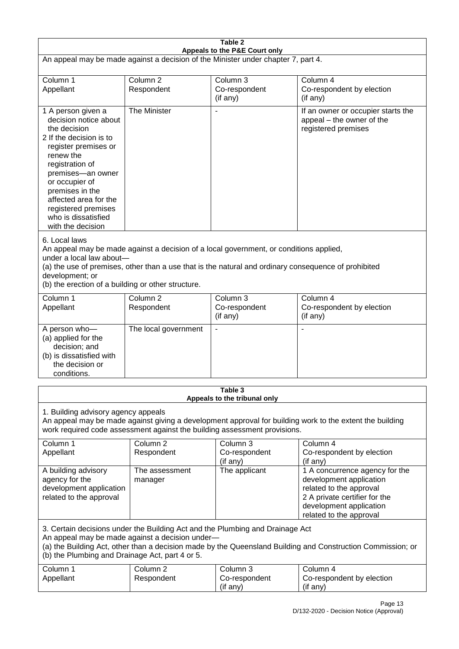|                                                                                                                                                                                                                                                                                                      |                                   | Table 2                                                                                                                                                                                        |                                                                                                                                                                             |  |
|------------------------------------------------------------------------------------------------------------------------------------------------------------------------------------------------------------------------------------------------------------------------------------------------------|-----------------------------------|------------------------------------------------------------------------------------------------------------------------------------------------------------------------------------------------|-----------------------------------------------------------------------------------------------------------------------------------------------------------------------------|--|
| Appeals to the P&E Court only<br>An appeal may be made against a decision of the Minister under chapter 7, part 4.                                                                                                                                                                                   |                                   |                                                                                                                                                                                                |                                                                                                                                                                             |  |
| Column 1<br>Appellant                                                                                                                                                                                                                                                                                | Column <sub>2</sub><br>Respondent | Column 3<br>Co-respondent<br>(if any)                                                                                                                                                          | Column 4<br>Co-respondent by election<br>(if any)                                                                                                                           |  |
| 1 A person given a<br>decision notice about<br>the decision<br>2 If the decision is to<br>register premises or<br>renew the<br>registration of<br>premises-an owner<br>or occupier of<br>premises in the<br>affected area for the<br>registered premises<br>who is dissatisfied<br>with the decision | The Minister                      | $\overline{\phantom{a}}$                                                                                                                                                                       | If an owner or occupier starts the<br>appeal – the owner of the<br>registered premises                                                                                      |  |
| 6. Local laws<br>under a local law about-<br>development; or<br>(b) the erection of a building or other structure.                                                                                                                                                                                   |                                   | An appeal may be made against a decision of a local government, or conditions applied,<br>(a) the use of premises, other than a use that is the natural and ordinary consequence of prohibited |                                                                                                                                                                             |  |
| Column 1<br>Appellant                                                                                                                                                                                                                                                                                | Column <sub>2</sub><br>Respondent | Column 3<br>Co-respondent<br>(if any)                                                                                                                                                          | Column 4<br>Co-respondent by election<br>(if any)                                                                                                                           |  |
| A person who-<br>(a) applied for the<br>decision; and<br>(b) is dissatisfied with<br>the decision or<br>conditions.                                                                                                                                                                                  | The local government              | $\blacksquare$                                                                                                                                                                                 |                                                                                                                                                                             |  |
|                                                                                                                                                                                                                                                                                                      |                                   | Table 3<br>Appeals to the tribunal only                                                                                                                                                        |                                                                                                                                                                             |  |
| 1. Building advisory agency appeals<br>An appeal may be made against giving a development approval for building work to the extent the building<br>work required code assessment against the building assessment provisions.                                                                         |                                   |                                                                                                                                                                                                |                                                                                                                                                                             |  |
| Column 1<br>Appellant                                                                                                                                                                                                                                                                                | Column <sub>2</sub><br>Respondent | Column <sub>3</sub><br>Co-respondent<br>(if any)                                                                                                                                               | Column 4<br>Co-respondent by election<br>(if any)                                                                                                                           |  |
| A building advisory<br>agency for the<br>development application<br>related to the approval                                                                                                                                                                                                          | The assessment<br>manager         | The applicant                                                                                                                                                                                  | 1 A concurrence agency for the<br>development application<br>related to the approval<br>2 A private certifier for the<br>development application<br>related to the approval |  |
| 3. Certain decisions under the Building Act and the Plumbing and Drainage Act<br>An appeal may be made against a decision under-<br>(a) the Building Act, other than a decision made by the Queensland Building and Construction Commission; or<br>(b) the Plumbing and Drainage Act, part 4 or 5.   |                                   |                                                                                                                                                                                                |                                                                                                                                                                             |  |
| Column 1<br>Appellant                                                                                                                                                                                                                                                                                | Column <sub>2</sub><br>Respondent | Column 3<br>Co-respondent<br>(if any)                                                                                                                                                          | Column 4<br>Co-respondent by election<br>(if any)                                                                                                                           |  |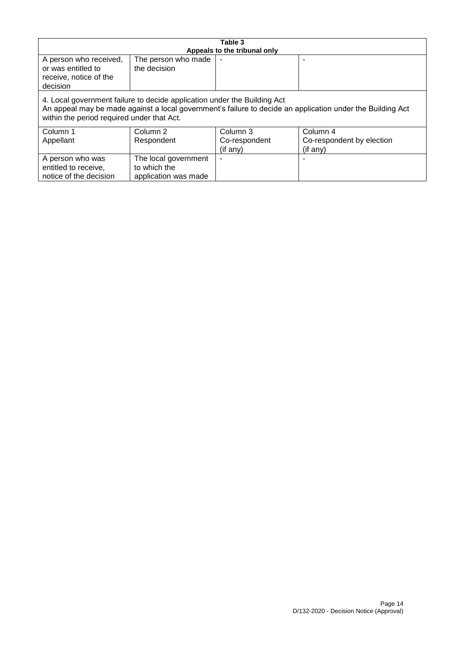| Table 3                                                                                                                                                                                                                              |                                                              |  |  |  |
|--------------------------------------------------------------------------------------------------------------------------------------------------------------------------------------------------------------------------------------|--------------------------------------------------------------|--|--|--|
| Appeals to the tribunal only<br>A person who received,<br>The person who made<br>or was entitled to<br>the decision<br>receive, notice of the<br>decision                                                                            |                                                              |  |  |  |
| 4. Local government failure to decide application under the Building Act<br>An appeal may be made against a local government's failure to decide an application under the Building Act<br>within the period required under that Act. |                                                              |  |  |  |
| Column 3<br>Column 4<br>Column 1<br>Column 2<br>Respondent<br>Appellant<br>Co-respondent<br>Co-respondent by election<br>(if any)<br>(if any)                                                                                        |                                                              |  |  |  |
| A person who was<br>entitled to receive,<br>notice of the decision                                                                                                                                                                   | The local government<br>to which the<br>application was made |  |  |  |